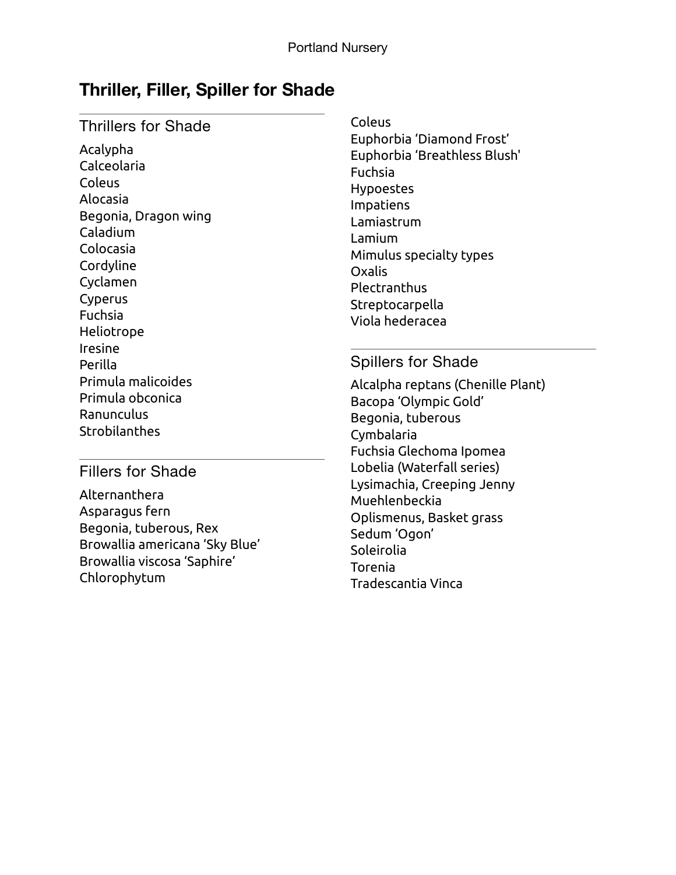# **Thriller, Filler, Spiller for Shade**

### Thrillers for Shade

Acalypha Calceolaria Coleus Alocasia Begonia, Dragon wing Caladium Colocasia Cordyline Cyclamen Cyperus Fuchsia Heliotrope Iresine Perilla Primula malicoides Primula obconica Ranunculus Strobilanthes

Coleus Euphorbia 'Diamond Frost' Euphorbia 'Breathless Blush' Fuchsia Hypoestes Impatiens Lamiastrum Lamium Mimulus specialty types Oxalis Plectranthus Streptocarpella Viola hederacea

#### Spillers for Shade

Alcalpha reptans (Chenille Plant) Bacopa 'Olympic Gold' Begonia, tuberous Cymbalaria Fuchsia Glechoma Ipomea Lobelia (Waterfall series) Lysimachia, Creeping Jenny Muehlenbeckia Oplismenus, Basket grass Sedum 'Ogon' Soleirolia Torenia Tradescantia Vinca

### Fillers for Shade

Alternanthera Asparagus fern Begonia, tuberous, Rex Browallia americana 'Sky Blue' Browallia viscosa 'Saphire' Chlorophytum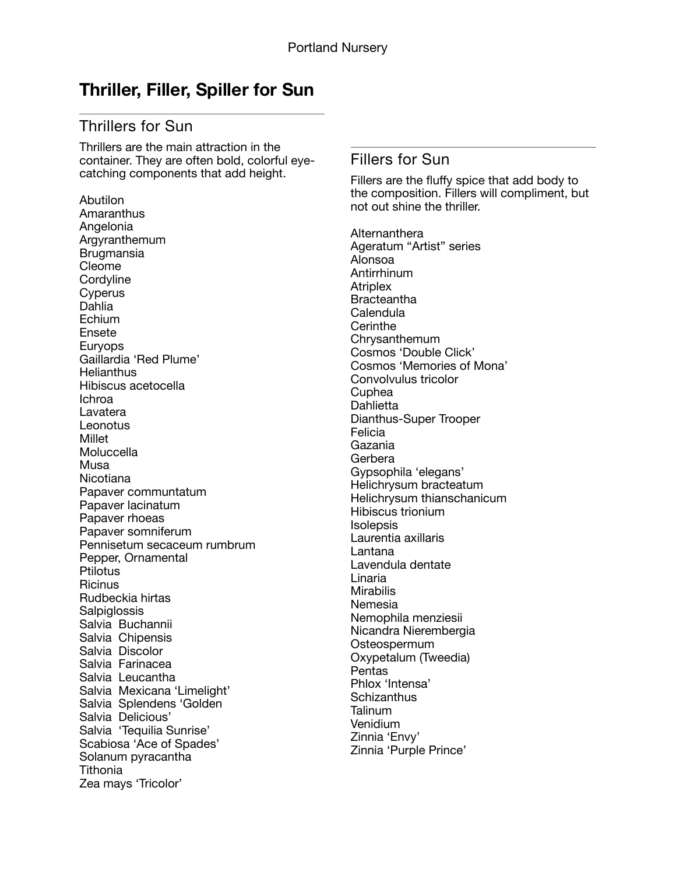## **Thriller, Filler, Spiller for Sun**

### Thrillers for Sun

Thrillers are the main attraction in the container. They are often bold, colorful eyecatching components that add height.

Abutilon **Amaranthus** Angelonia Argyranthemum Brugmansia Cleome **Cordyline Cyperus** Dahlia Echium Ensete Euryops Gaillardia 'Red Plume' **Helianthus** Hibiscus acetocella Ichroa Lavatera **Leonotus** Millet **Moluccella** Musa **Nicotiana** Papaver communtatum Papaver lacinatum Papaver rhoeas Papaver somniferum Pennisetum secaceum rumbrum Pepper, Ornamental **Ptilotus Ricinus** Rudbeckia hirtas **Salpiglossis** Salvia Buchannii Salvia Chipensis Salvia Discolor Salvia Farinacea Salvia Leucantha Salvia Mexicana 'Limelight' Salvia Splendens 'Golden Salvia Delicious' Salvia 'Tequilia Sunrise' Scabiosa 'Ace of Spades' Solanum pyracantha **Tithonia** Zea mays 'Tricolor'

#### Fillers for Sun

Fillers are the fluffy spice that add body to the composition. Fillers will compliment, but not out shine the thriller.

Alternanthera Ageratum "Artist" series Alonsoa Antirrhinum **Atriplex Bracteantha** Calendula **Cerinthe** Chrysanthemum Cosmos 'Double Click' Cosmos 'Memories of Mona' Convolvulus tricolor Cuphea Dahlietta Dianthus-Super Trooper Felicia Gazania Gerbera Gypsophila 'elegans' Helichrysum bracteatum Helichrysum thianschanicum Hibiscus trionium Isolepsis Laurentia axillaris Lantana Lavendula dentate Linaria **Mirabilis** Nemesia Nemophila menziesii Nicandra Nierembergia Osteospermum Oxypetalum (Tweedia) Pentas Phlox 'Intensa' **Schizanthus** Talinum Venidium Zinnia 'Envy' Zinnia 'Purple Prince'